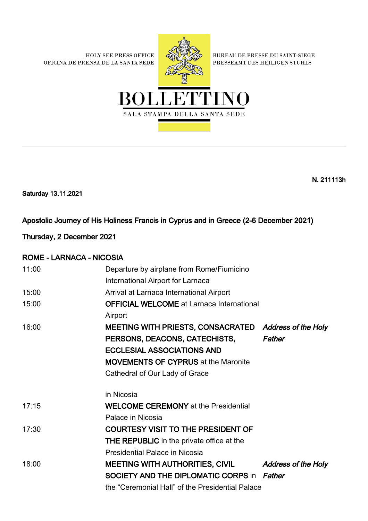HOLY SEE PRESS OFFICE OFICINA DE PRENSA DE LA SANTA SEDE



BUREAU DE PRESSE DU SAINT-SIEGE PRESSEAMT DES HEILIGEN STUHLS



N. 211113h

Saturday 13.11.2021

### Apostolic Journey of His Holiness Francis in Cyprus and in Greece (2-6 December 2021)

Thursday, 2 December 2021

### ROME - LARNACA - NICOSIA

| 11:00 | Departure by airplane from Rome/Fiumicino             |                            |
|-------|-------------------------------------------------------|----------------------------|
|       | International Airport for Larnaca                     |                            |
| 15:00 | Arrival at Larnaca International Airport              |                            |
| 15:00 | <b>OFFICIAL WELCOME</b> at Larnaca International      |                            |
|       | Airport                                               |                            |
| 16:00 | MEETING WITH PRIESTS, CONSACRATED Address of the Holy |                            |
|       | PERSONS, DEACONS, CATECHISTS,                         | Father                     |
|       | <b>ECCLESIAL ASSOCIATIONS AND</b>                     |                            |
|       | <b>MOVEMENTS OF CYPRUS at the Maronite</b>            |                            |
|       | Cathedral of Our Lady of Grace                        |                            |
|       | in Nicosia                                            |                            |
| 17:15 | <b>WELCOME CEREMONY</b> at the Presidential           |                            |
|       | Palace in Nicosia                                     |                            |
| 17:30 | <b>COURTESY VISIT TO THE PRESIDENT OF</b>             |                            |
|       | <b>THE REPUBLIC</b> in the private office at the      |                            |
|       | Presidential Palace in Nicosia                        |                            |
| 18:00 | <b>MEETING WITH AUTHORITIES, CIVIL</b>                | <b>Address of the Holy</b> |
|       | SOCIETY AND THE DIPLOMATIC CORPS in Father            |                            |
|       | the "Ceremonial Hall" of the Presidential Palace      |                            |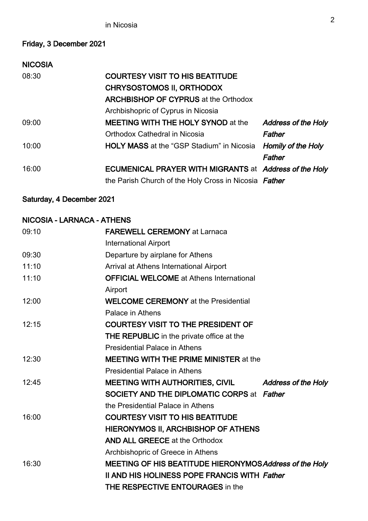# Friday, 3 December 2021

| <b>NICOSIA</b> |                                                               |                            |
|----------------|---------------------------------------------------------------|----------------------------|
| 08:30          | <b>COURTESY VISIT TO HIS BEATITUDE</b>                        |                            |
|                | <b>CHRYSOSTOMOS II, ORTHODOX</b>                              |                            |
|                | <b>ARCHBISHOP OF CYPRUS at the Orthodox</b>                   |                            |
|                | Archbishopric of Cyprus in Nicosia                            |                            |
| 09:00          | <b>MEETING WITH THE HOLY SYNOD at the</b>                     | <b>Address of the Holy</b> |
|                | Orthodox Cathedral in Nicosia                                 | Father                     |
| 10:00          | <b>HOLY MASS</b> at the "GSP Stadium" in Nicosia              | Homily of the Holy         |
|                |                                                               | Father                     |
| 16:00          | <b>ECUMENICAL PRAYER WITH MIGRANTS at Address of the Holy</b> |                            |
|                | the Parish Church of the Holy Cross in Nicosia Father         |                            |

### Saturday, 4 December 2021

#### NICOSIA - LARNACA - ATHENS

| 09:10 | <b>FAREWELL CEREMONY at Larnaca</b>                           |
|-------|---------------------------------------------------------------|
|       | <b>International Airport</b>                                  |
| 09:30 | Departure by airplane for Athens                              |
| 11:10 | Arrival at Athens International Airport                       |
| 11:10 | <b>OFFICIAL WELCOME</b> at Athens International               |
|       | Airport                                                       |
| 12:00 | <b>WELCOME CEREMONY</b> at the Presidential                   |
|       | Palace in Athens                                              |
| 12:15 | <b>COURTESY VISIT TO THE PRESIDENT OF</b>                     |
|       | THE REPUBLIC in the private office at the                     |
|       | <b>Presidential Palace in Athens</b>                          |
| 12:30 | <b>MEETING WITH THE PRIME MINISTER at the</b>                 |
|       | <b>Presidential Palace in Athens</b>                          |
| 12:45 | MEETING WITH AUTHORITIES, CIVIL<br><b>Address of the Holy</b> |
|       | <b>SOCIETY AND THE DIPLOMATIC CORPS at Father</b>             |
|       | the Presidential Palace in Athens                             |
| 16:00 | <b>COURTESY VISIT TO HIS BEATITUDE</b>                        |
|       | HIERONYMOS II, ARCHBISHOP OF ATHENS                           |
|       | <b>AND ALL GREECE at the Orthodox</b>                         |
|       | Archbishopric of Greece in Athens                             |
| 16:30 | MEETING OF HIS BEATITUDE HIERONYMOS Address of the Holy       |
|       | <b>II AND HIS HOLINESS POPE FRANCIS WITH Father</b>           |
|       | <b>THE RESPECTIVE ENTOURAGES in the</b>                       |